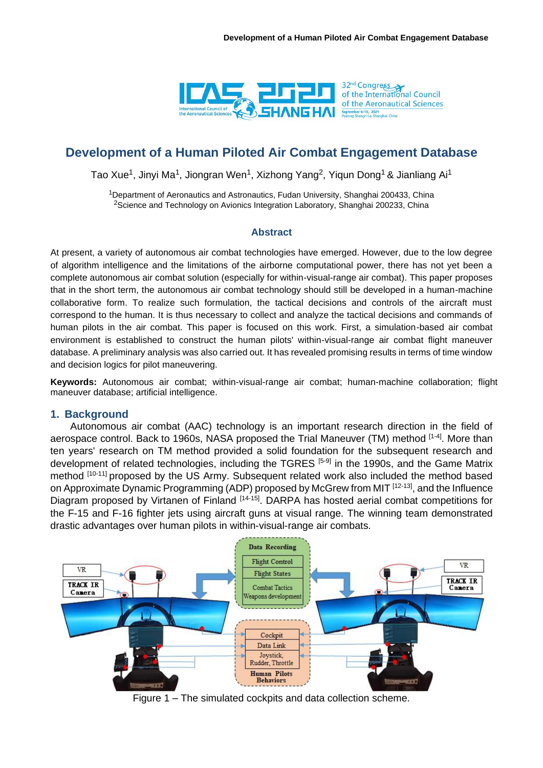

# **Development of a Human Piloted Air Combat Engagement Database**

Tao Xue<sup>1</sup>, Jinyi Ma<sup>1</sup>, Jiongran Wen<sup>1</sup>, Xizhong Yang<sup>2</sup>, Yiqun Dong<sup>1</sup> & Jianliang Ai<sup>1</sup>

<sup>1</sup>Department of Aeronautics and Astronautics, Fudan University, Shanghai 200433, China <sup>2</sup>Science and Technology on Avionics Integration Laboratory, Shanghai 200233, China

### **Abstract**

At present, a variety of autonomous air combat technologies have emerged. However, due to the low degree of algorithm intelligence and the limitations of the airborne computational power, there has not yet been a complete autonomous air combat solution (especially for within-visual-range air combat). This paper proposes that in the short term, the autonomous air combat technology should still be developed in a human-machine collaborative form. To realize such formulation, the tactical decisions and controls of the aircraft must correspond to the human. It is thus necessary to collect and analyze the tactical decisions and commands of human pilots in the air combat. This paper is focused on this work. First, a simulation-based air combat environment is established to construct the human pilots' within-visual-range air combat flight maneuver database. A preliminary analysis was also carried out. It has revealed promising results in terms of time window and decision logics for pilot maneuvering.

**Keywords:** Autonomous air combat; within-visual-range air combat; human-machine collaboration; flight maneuver database; artificial intelligence.

## **1. Background**

Autonomous air combat (AAC) technology is an important research direction in the field of aerospace control. Back to 1960s, NASA proposed the Trial Maneuver (TM) method [1-4]. More than ten years' research on TM method provided a solid foundation for the subsequent research and development of related technologies, including the TGRES [5-9] in the 1990s, and the Game Matrix method [10-11] proposed by the US Army. Subsequent related work also included the method based on Approximate Dynamic Programming (ADP) proposed by McGrew from MIT [12-13], and the Influence Diagram proposed by Virtanen of Finland [14-15]. DARPA has hosted aerial combat competitions for the F-15 and F-16 fighter jets using aircraft guns at visual range. The winning team demonstrated drastic advantages over human pilots in within-visual-range air combats.



Figure 1 – The simulated cockpits and data collection scheme.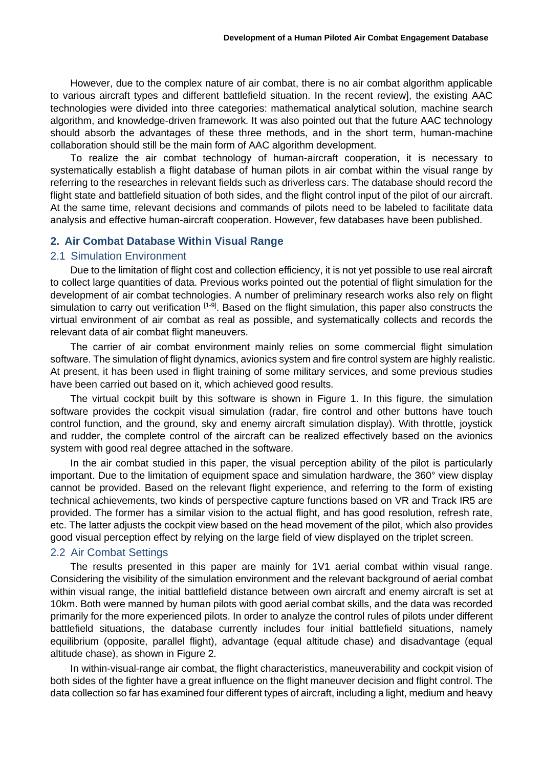However, due to the complex nature of air combat, there is no air combat algorithm applicable to various aircraft types and different battlefield situation. In the recent review], the existing AAC technologies were divided into three categories: mathematical analytical solution, machine search algorithm, and knowledge-driven framework. It was also pointed out that the future AAC technology should absorb the advantages of these three methods, and in the short term, human-machine collaboration should still be the main form of AAC algorithm development.

To realize the air combat technology of human-aircraft cooperation, it is necessary to systematically establish a flight database of human pilots in air combat within the visual range by referring to the researches in relevant fields such as driverless cars. The database should record the flight state and battlefield situation of both sides, and the flight control input of the pilot of our aircraft. At the same time, relevant decisions and commands of pilots need to be labeled to facilitate data analysis and effective human-aircraft cooperation. However, few databases have been published.

# **2. Air Combat Database Within Visual Range**

# 2.1 Simulation Environment

Due to the limitation of flight cost and collection efficiency, it is not yet possible to use real aircraft to collect large quantities of data. Previous works pointed out the potential of flight simulation for the development of air combat technologies. A number of preliminary research works also rely on flight simulation to carry out verification [1-9]. Based on the flight simulation, this paper also constructs the virtual environment of air combat as real as possible, and systematically collects and records the relevant data of air combat flight maneuvers.

The carrier of air combat environment mainly relies on some commercial flight simulation software. The simulation of flight dynamics, avionics system and fire control system are highly realistic. At present, it has been used in flight training of some military services, and some previous studies have been carried out based on it, which achieved good results.

The virtual cockpit built by this software is shown in Figure 1. In this figure, the simulation software provides the cockpit visual simulation (radar, fire control and other buttons have touch control function, and the ground, sky and enemy aircraft simulation display). With throttle, joystick and rudder, the complete control of the aircraft can be realized effectively based on the avionics system with good real degree attached in the software.

In the air combat studied in this paper, the visual perception ability of the pilot is particularly important. Due to the limitation of equipment space and simulation hardware, the 360° view display cannot be provided. Based on the relevant flight experience, and referring to the form of existing technical achievements, two kinds of perspective capture functions based on VR and Track IR5 are provided. The former has a similar vision to the actual flight, and has good resolution, refresh rate, etc. The latter adjusts the cockpit view based on the head movement of the pilot, which also provides good visual perception effect by relying on the large field of view displayed on the triplet screen.

## 2.2 Air Combat Settings

The results presented in this paper are mainly for 1V1 aerial combat within visual range. Considering the visibility of the simulation environment and the relevant background of aerial combat within visual range, the initial battlefield distance between own aircraft and enemy aircraft is set at 10km. Both were manned by human pilots with good aerial combat skills, and the data was recorded primarily for the more experienced pilots. In order to analyze the control rules of pilots under different battlefield situations, the database currently includes four initial battlefield situations, namely equilibrium (opposite, parallel flight), advantage (equal altitude chase) and disadvantage (equal altitude chase), as shown in Figure 2.

In within-visual-range air combat, the flight characteristics, maneuverability and cockpit vision of both sides of the fighter have a great influence on the flight maneuver decision and flight control. The data collection so far has examined four different types of aircraft, including a light, medium and heavy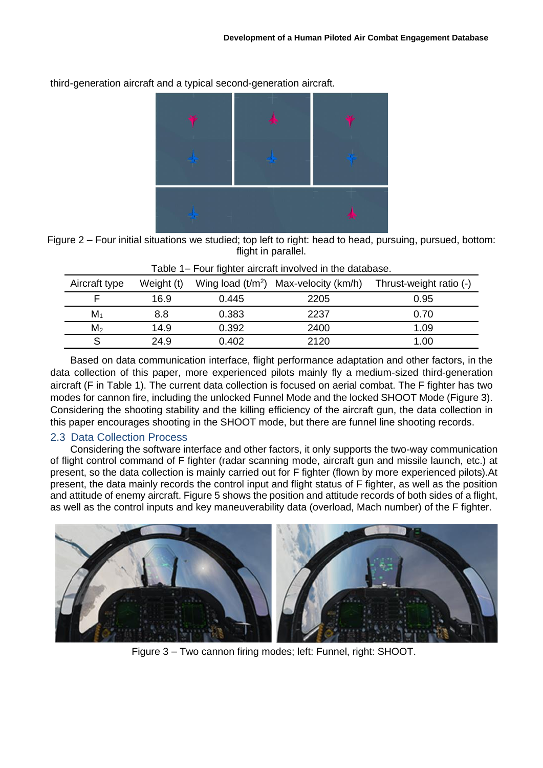

third-generation aircraft and a typical second-generation aircraft.

Figure 2 – Four initial situations we studied; top left to right: head to head, pursuing, pursued, bottom: flight in parallel.

| Aircraft type  | Weight (t) |       | Wing load $(t/m^2)$ Max-velocity (km/h) | Thrust-weight ratio (-) |
|----------------|------------|-------|-----------------------------------------|-------------------------|
|                | 16.9       | 0.445 | 2205                                    | 0.95                    |
| $M_1$          | 8.8        | 0.383 | 2237                                    | 0.70                    |
| M <sub>2</sub> | 14.9       | 0.392 | 2400                                    | 1.09                    |
|                | 24.9       | 0.402 | 2120                                    | 1.00                    |

| Table 1- Four fighter aircraft involved in the database. |  |
|----------------------------------------------------------|--|
|----------------------------------------------------------|--|

Based on data communication interface, flight performance adaptation and other factors, in the data collection of this paper, more experienced pilots mainly fly a medium-sized third-generation aircraft (F in Table 1). The current data collection is focused on aerial combat. The F fighter has two modes for cannon fire, including the unlocked Funnel Mode and the locked SHOOT Mode (Figure 3). Considering the shooting stability and the killing efficiency of the aircraft gun, the data collection in this paper encourages shooting in the SHOOT mode, but there are funnel line shooting records.

# 2.3 Data Collection Process

Considering the software interface and other factors, it only supports the two-way communication of flight control command of F fighter (radar scanning mode, aircraft gun and missile launch, etc.) at present, so the data collection is mainly carried out for F fighter (flown by more experienced pilots).At present, the data mainly records the control input and flight status of F fighter, as well as the position and attitude of enemy aircraft. Figure 5 shows the position and attitude records of both sides of a flight, as well as the control inputs and key maneuverability data (overload, Mach number) of the F fighter.



Figure 3 – Two cannon firing modes; left: Funnel, right: SHOOT.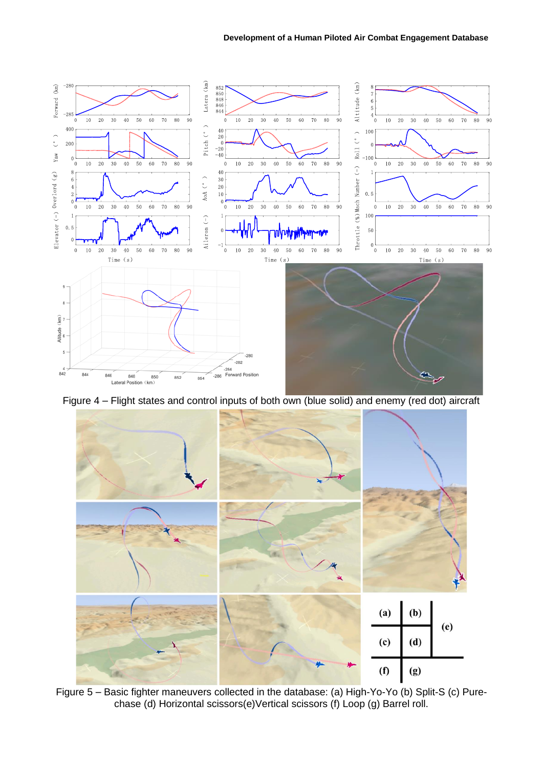#### **Development of a Human Piloted Air Combat Engagement Database**



Figure 4 – Flight states and control inputs of both own (blue solid) and enemy (red dot) aircraft



Figure 5 – Basic fighter maneuvers collected in the database: (a) High-Yo-Yo (b) Split-S (c) Purechase (d) Horizontal scissors(e)Vertical scissors (f) Loop (g) Barrel roll.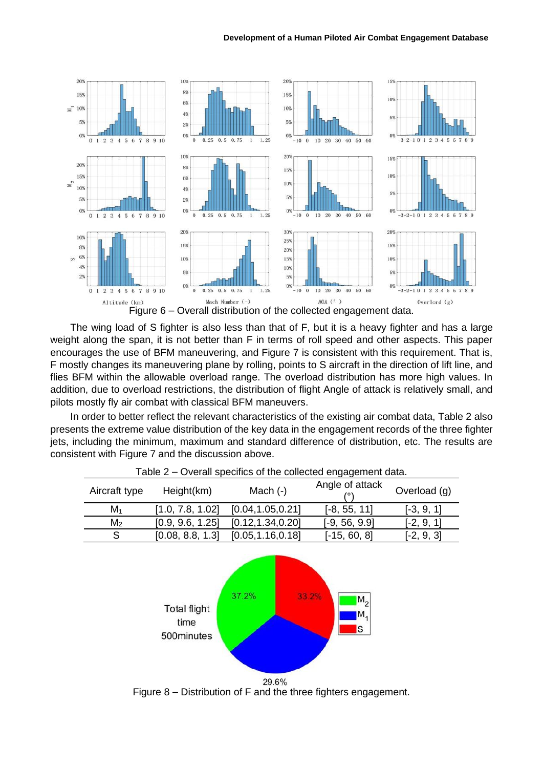#### **Development of a Human Piloted Air Combat Engagement Database**



The wing load of S fighter is also less than that of F, but it is a heavy fighter and has a large weight along the span, it is not better than F in terms of roll speed and other aspects. This paper encourages the use of BFM maneuvering, and Figure 7 is consistent with this requirement. That is, F mostly changes its maneuvering plane by rolling, points to S aircraft in the direction of lift line, and flies BFM within the allowable overload range. The overload distribution has more high values. In addition, due to overload restrictions, the distribution of flight Angle of attack is relatively small, and pilots mostly fly air combat with classical BFM maneuvers.

In order to better reflect the relevant characteristics of the existing air combat data, Table 2 also presents the extreme value distribution of the key data in the engagement records of the three fighter jets, including the minimum, maximum and standard difference of distribution, etc. The results are consistent with Figure 7 and the discussion above.

| Table 2 – Overall specifics of the collected engagement data. |                  |                    |                 |              |  |  |  |  |
|---------------------------------------------------------------|------------------|--------------------|-----------------|--------------|--|--|--|--|
| Aircraft type                                                 | Height(km)       | Mach $(-)$         | Angle of attack | Overload (g) |  |  |  |  |
| $M_1$                                                         | [1.0, 7.8, 1.02] | [0.04, 1.05, 0.21] | $[-8, 55, 11]$  | $[-3, 9, 1]$ |  |  |  |  |
| M <sub>2</sub>                                                | [0.9, 9.6, 1.25] | [0.12, 1.34, 0.20] | $[-9, 56, 9.9]$ | $[-2, 9, 1]$ |  |  |  |  |
| S                                                             | [0.08, 8.8, 1.3] | [0.05, 1.16, 0.18] | $[-15, 60, 8]$  | $[-2, 9, 3]$ |  |  |  |  |



Figure 8 – Distribution of F and the three fighters engagement.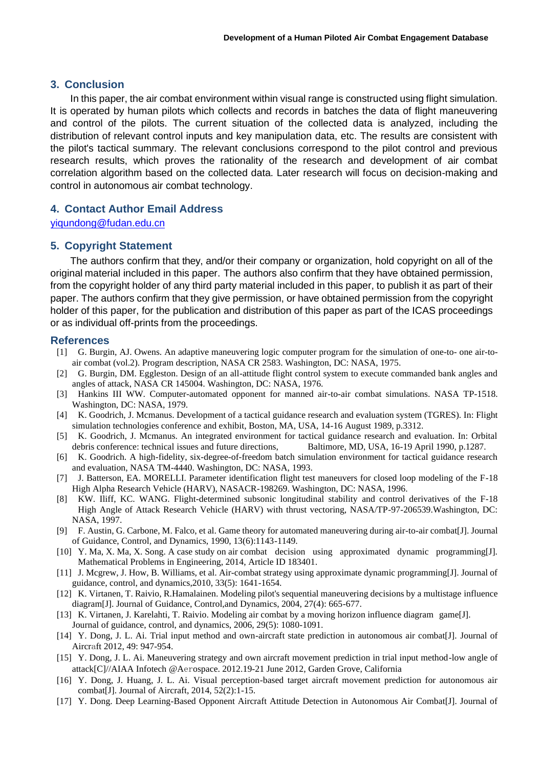# **3. Conclusion**

In this paper, the air combat environment within visual range is constructed using flight simulation. It is operated by human pilots which collects and records in batches the data of flight maneuvering and control of the pilots. The current situation of the collected data is analyzed, including the distribution of relevant control inputs and key manipulation data, etc. The results are consistent with the pilot's tactical summary. The relevant conclusions correspond to the pilot control and previous research results, which proves the rationality of the research and development of air combat correlation algorithm based on the collected data. Later research will focus on decision-making and control in autonomous air combat technology.

# **4. Contact Author Email Address**

[yiqundong@fudan.edu.cn](mailto:yiqundong@fudan.edu.cn)

# **5. Copyright Statement**

The authors confirm that they, and/or their company or organization, hold copyright on all of the original material included in this paper. The authors also confirm that they have obtained permission, from the copyright holder of any third party material included in this paper, to publish it as part of their paper. The authors confirm that they give permission, or have obtained permission from the copyright holder of this paper, for the publication and distribution of this paper as part of the ICAS proceedings or as individual off-prints from the proceedings.

#### **References**

- [1] G. Burgin, AJ. Owens. An adaptive maneuvering logic computer program for the simulation of one-to- one air-toair combat (vol.2). Program description, NASA CR 2583. Washington, DC: NASA, 1975.
- [2] G. Burgin, DM. Eggleston. Design of an all-attitude flight control system to execute commanded bank angles and angles of attack, NASA CR 145004. Washington, DC: NASA, 1976.
- [3] Hankins III WW. Computer-automated opponent for manned air-to-air combat simulations. NASA TP-1518. Washington, DC: NASA, 1979.
- [4] K. Goodrich, J. Mcmanus. Development of a tactical guidance research and evaluation system (TGRES). In: Flight simulation technologies conference and exhibit, Boston, MA, USA, 14-16 August 1989, p.3312.
- [5] K. Goodrich, J. Mcmanus. An integrated environment for tactical guidance research and evaluation. In: Orbital debris conference: technical issues and future directions, Baltimore, MD, USA, 16-19 April 1990, p.1287.
- [6] K. Goodrich. A high-fidelity, six-degree-of-freedom batch simulation environment for tactical guidance research and evaluation, NASA TM-4440. Washington, DC: NASA, 1993.
- [7] J. Batterson, EA. MORELLI. Parameter identification flight test maneuvers for closed loop modeling of the F-18 High Alpha Research Vehicle (HARV), NASACR-198269. Washington, DC: NASA, 1996.
- [8] KW. Iliff, KC. WANG. Flight-determined subsonic longitudinal stability and control derivatives of the F-18 High Angle of Attack Research Vehicle (HARV) with thrust vectoring, NASA/TP-97-206539.Washington, DC: NASA, 1997.
- [9] F. Austin, G. Carbone, M. Falco, et al. Game theory for automated maneuvering during air-to-air combat[J]. Journal of Guidance, Control, and Dynamics, 1990, 13(6):1143-1149.
- [10] Y. Ma, X. Ma, X. Song. A case study on air combat decision using approximated dynamic programming[J]. Mathematical Problems in Engineering, 2014, Article ID 183401.
- [11] J. Mcgrew, J. How, B. Williams, et al. Air-combat strategy using approximate dynamic programming[J]. Journal of guidance, control, and dynamics,2010, 33(5): 1641-1654.
- [12] K. Virtanen, T. Raivio, R.Hamalainen. Modeling pilot's sequential maneuvering decisions by a multistage influence diagram[J]. Journal of Guidance, Control,and Dynamics, 2004, 27(4): 665-677.
- [13] K. Virtanen, J. Karelahti, T. Raivio. Modeling air combat by a moving horizon influence diagram game[J]. Journal of guidance, control, and dynamics, 2006, 29(5): 1080-1091.
- [14] Y. Dong, J. L. Ai. Trial input method and own-aircraft state prediction in autonomous air combat[J]. Journal of Aircraft 2012, 49: 947-954.
- [15] Y. Dong, J. L. Ai. Maneuvering strategy and own aircraft movement prediction in trial input method-low angle of attack[C]//AIAA Infotech @Aerospace. 2012.19-21 June 2012, Garden Grove, California
- [16] Y. Dong, J. Huang, J. L. Ai. Visual perception-based target aircraft movement prediction for autonomous air combat[J]. Journal of Aircraft, 2014, 52(2):1-15.
- [17] Y. Dong. Deep Learning-Based Opponent Aircraft Attitude Detection in Autonomous Air Combat[J]. Journal of